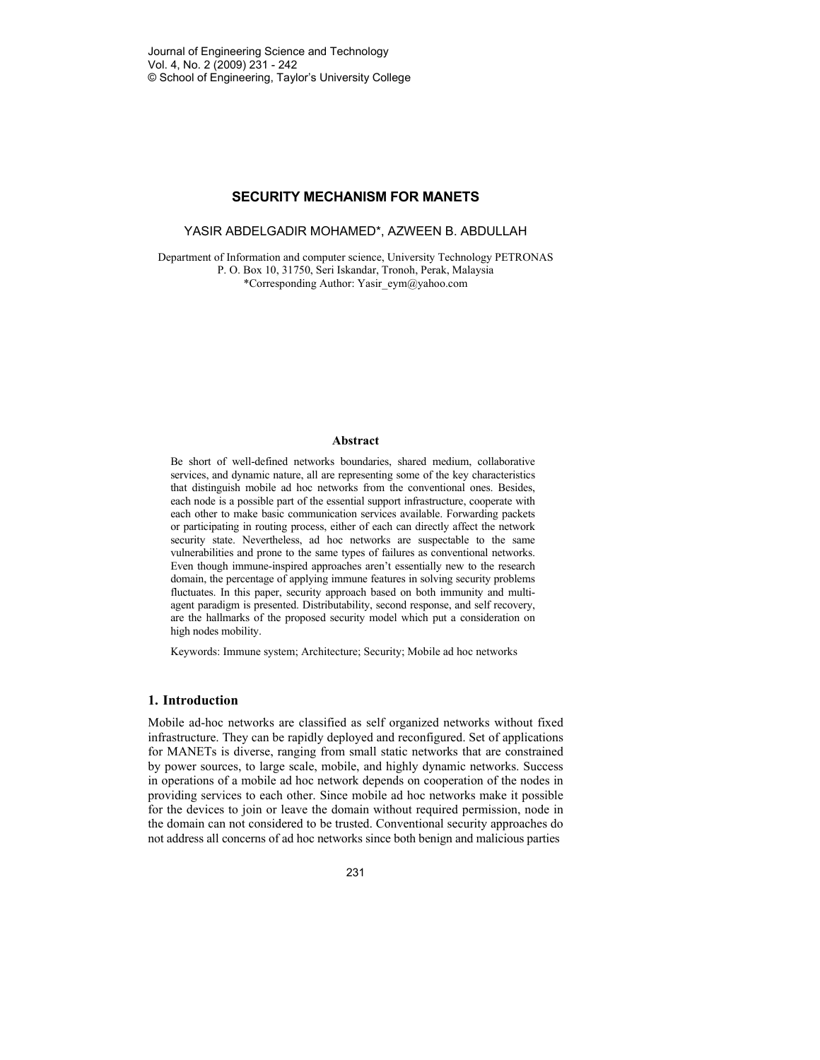### **SECURITY MECHANISM FOR MANETS**

YASIR ABDELGADIR MOHAMED\*, AZWEEN B. ABDULLAH

Department of Information and computer science, University Technology PETRONAS P. O. Box 10, 31750, Seri Iskandar, Tronoh, Perak, Malaysia \*Corresponding Author: Yasir\_eym@yahoo.com

### **Abstract**

Be short of well-defined networks boundaries, shared medium, collaborative services, and dynamic nature, all are representing some of the key characteristics that distinguish mobile ad hoc networks from the conventional ones. Besides, each node is a possible part of the essential support infrastructure, cooperate with each other to make basic communication services available. Forwarding packets or participating in routing process, either of each can directly affect the network security state. Nevertheless, ad hoc networks are suspectable to the same vulnerabilities and prone to the same types of failures as conventional networks. Even though immune-inspired approaches aren't essentially new to the research domain, the percentage of applying immune features in solving security problems fluctuates. In this paper, security approach based on both immunity and multiagent paradigm is presented. Distributability, second response, and self recovery, are the hallmarks of the proposed security model which put a consideration on high nodes mobility.

Keywords: Immune system; Architecture; Security; Mobile ad hoc networks

### **1. Introduction**

Mobile ad-hoc networks are classified as self organized networks without fixed infrastructure. They can be rapidly deployed and reconfigured. Set of applications for MANETs is diverse, ranging from small static networks that are constrained by power sources, to large scale, mobile, and highly dynamic networks. Success in operations of a mobile ad hoc network depends on cooperation of the nodes in providing services to each other. Since mobile ad hoc networks make it possible for the devices to join or leave the domain without required permission, node in the domain can not considered to be trusted. Conventional security approaches do not address all concerns of ad hoc networks since both benign and malicious parties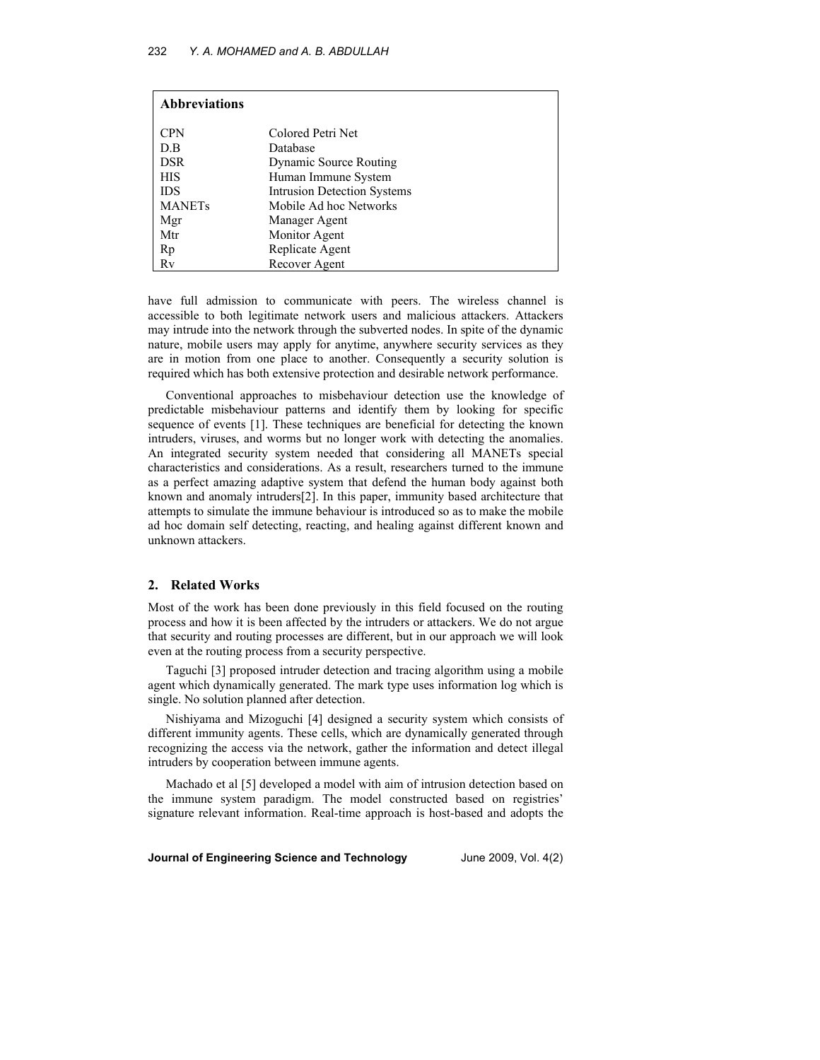| <b>Abbreviations</b> |                                    |
|----------------------|------------------------------------|
| <b>CPN</b>           | Colored Petri Net                  |
| D.B                  | Database                           |
| <b>DSR</b>           | <b>Dynamic Source Routing</b>      |
| <b>HIS</b>           | Human Immune System                |
| <b>IDS</b>           | <b>Intrusion Detection Systems</b> |
| <b>MANETs</b>        | Mobile Ad hoc Networks             |
| Mgr                  | Manager Agent                      |
| Mtr                  | Monitor Agent                      |
| Rp                   | Replicate Agent                    |
| Rv                   | Recover Agent                      |

have full admission to communicate with peers. The wireless channel is accessible to both legitimate network users and malicious attackers. Attackers may intrude into the network through the subverted nodes. In spite of the dynamic nature, mobile users may apply for anytime, anywhere security services as they are in motion from one place to another. Consequently a security solution is required which has both extensive protection and desirable network performance.

Conventional approaches to misbehaviour detection use the knowledge of predictable misbehaviour patterns and identify them by looking for specific sequence of events [1]. These techniques are beneficial for detecting the known intruders, viruses, and worms but no longer work with detecting the anomalies. An integrated security system needed that considering all MANETs special characteristics and considerations. As a result, researchers turned to the immune as a perfect amazing adaptive system that defend the human body against both known and anomaly intruders[2]. In this paper, immunity based architecture that attempts to simulate the immune behaviour is introduced so as to make the mobile ad hoc domain self detecting, reacting, and healing against different known and unknown attackers.

### **2. Related Works**

Most of the work has been done previously in this field focused on the routing process and how it is been affected by the intruders or attackers. We do not argue that security and routing processes are different, but in our approach we will look even at the routing process from a security perspective.

Taguchi [3] proposed intruder detection and tracing algorithm using a mobile agent which dynamically generated. The mark type uses information log which is single. No solution planned after detection.

Nishiyama and Mizoguchi [4] designed a security system which consists of different immunity agents. These cells, which are dynamically generated through recognizing the access via the network, gather the information and detect illegal intruders by cooperation between immune agents.

Machado et al [5] developed a model with aim of intrusion detection based on the immune system paradigm. The model constructed based on registries' signature relevant information. Real-time approach is host-based and adopts the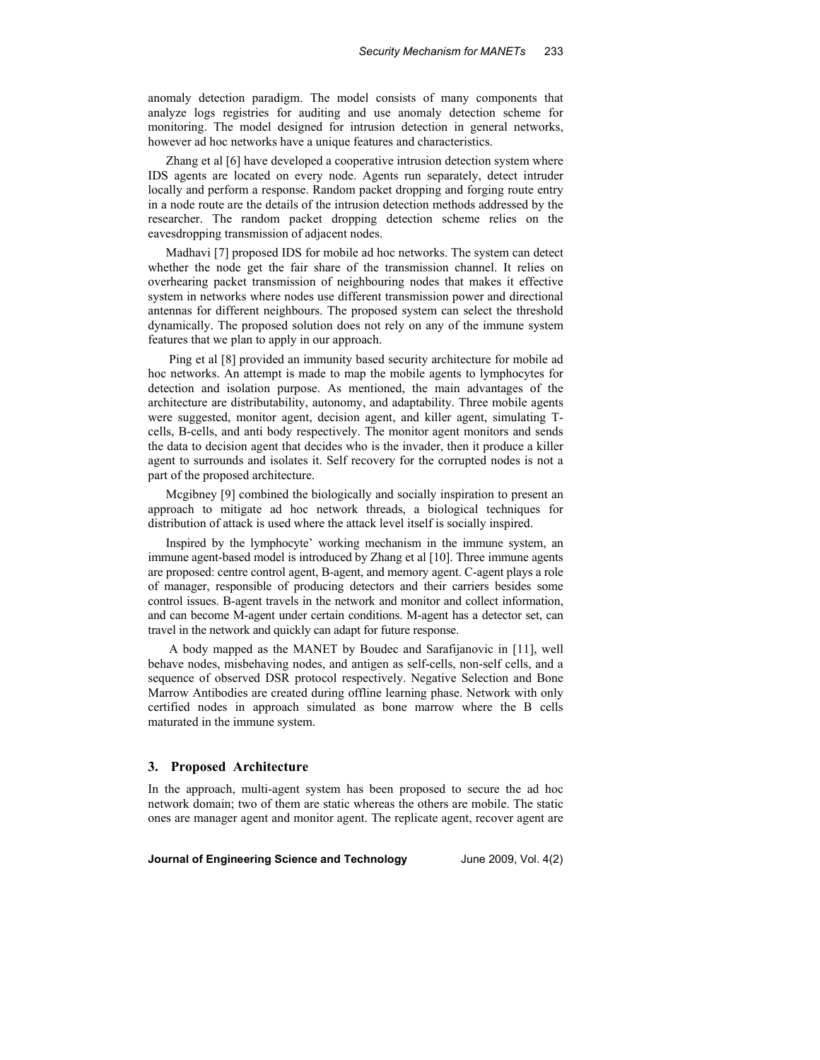anomaly detection paradigm. The model consists of many components that analyze logs registries for auditing and use anomaly detection scheme for monitoring. The model designed for intrusion detection in general networks, however ad hoc networks have a unique features and characteristics.

Zhang et al [6] have developed a cooperative intrusion detection system where IDS agents are located on every node. Agents run separately, detect intruder locally and perform a response. Random packet dropping and forging route entry in a node route are the details of the intrusion detection methods addressed by the researcher. The random packet dropping detection scheme relies on the eavesdropping transmission of adjacent nodes.

Madhavi [7] proposed IDS for mobile ad hoc networks. The system can detect whether the node get the fair share of the transmission channel. It relies on overhearing packet transmission of neighbouring nodes that makes it effective system in networks where nodes use different transmission power and directional antennas for different neighbours. The proposed system can select the threshold dynamically. The proposed solution does not rely on any of the immune system features that we plan to apply in our approach.

 Ping et al [8] provided an immunity based security architecture for mobile ad hoc networks. An attempt is made to map the mobile agents to lymphocytes for detection and isolation purpose. As mentioned, the main advantages of the architecture are distributability, autonomy, and adaptability. Three mobile agents were suggested, monitor agent, decision agent, and killer agent, simulating Tcells, B-cells, and anti body respectively. The monitor agent monitors and sends the data to decision agent that decides who is the invader, then it produce a killer agent to surrounds and isolates it. Self recovery for the corrupted nodes is not a part of the proposed architecture.

Mcgibney [9] combined the biologically and socially inspiration to present an approach to mitigate ad hoc network threads, a biological techniques for distribution of attack is used where the attack level itself is socially inspired.

Inspired by the lymphocyte' working mechanism in the immune system, an immune agent-based model is introduced by Zhang et al [10]. Three immune agents are proposed: centre control agent, B-agent, and memory agent. C-agent plays a role of manager, responsible of producing detectors and their carriers besides some control issues. B-agent travels in the network and monitor and collect information, and can become M-agent under certain conditions. M-agent has a detector set, can travel in the network and quickly can adapt for future response.

 A body mapped as the MANET by Boudec and Sarafijanovic in [11], well behave nodes, misbehaving nodes, and antigen as self-cells, non-self cells, and a sequence of observed DSR protocol respectively. Negative Selection and Bone Marrow Antibodies are created during offline learning phase. Network with only certified nodes in approach simulated as bone marrow where the B cells maturated in the immune system.

# **3. Proposed Architecture**

In the approach, multi-agent system has been proposed to secure the ad hoc network domain; two of them are static whereas the others are mobile. The static ones are manager agent and monitor agent. The replicate agent, recover agent are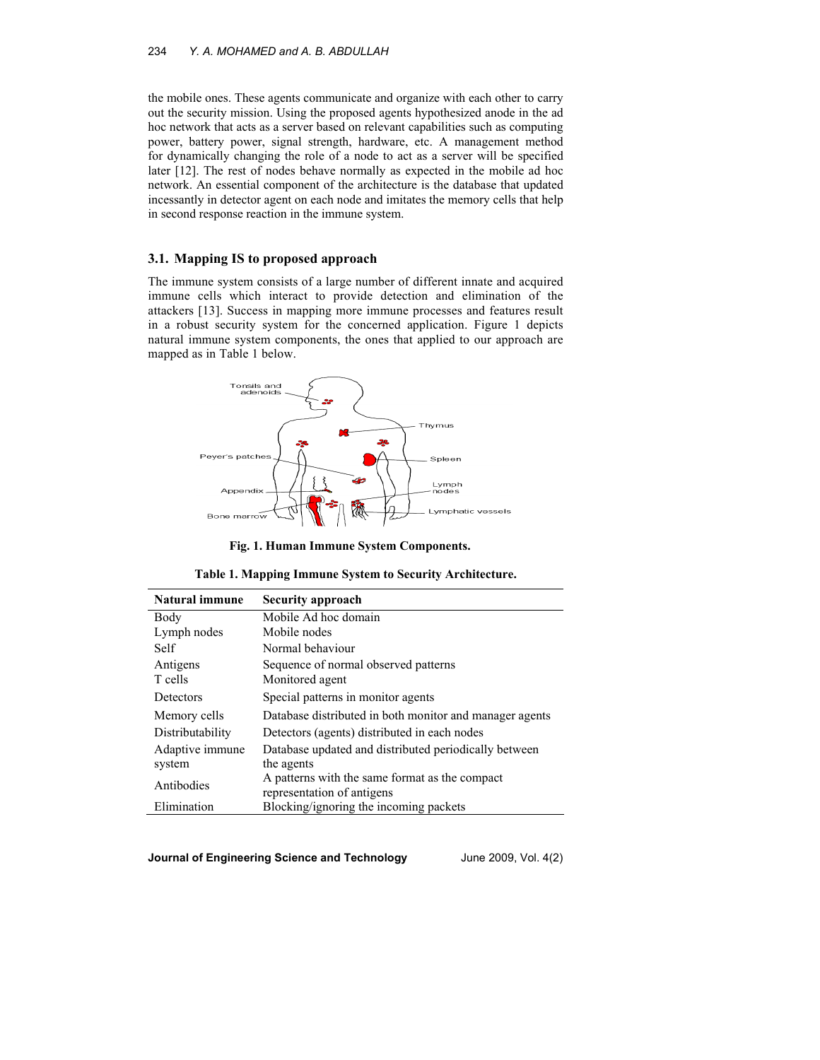the mobile ones. These agents communicate and organize with each other to carry out the security mission. Using the proposed agents hypothesized anode in the ad hoc network that acts as a server based on relevant capabilities such as computing power, battery power, signal strength, hardware, etc. A management method for dynamically changing the role of a node to act as a server will be specified later [12]. The rest of nodes behave normally as expected in the mobile ad hoc network. An essential component of the architecture is the database that updated incessantly in detector agent on each node and imitates the memory cells that help in second response reaction in the immune system.

### **3.1. Mapping IS to proposed approach**

The immune system consists of a large number of different innate and acquired immune cells which interact to provide detection and elimination of the attackers [13]. Success in mapping more immune processes and features result in a robust security system for the concerned application. Figure 1 depicts natural immune system components, the ones that applied to our approach are mapped as in Table 1 below.



**Fig. 1. Human Immune System Components.** 

**Table 1. Mapping Immune System to Security Architecture.** 

| <b>Natural immune</b> | Security approach                                       |
|-----------------------|---------------------------------------------------------|
| Body                  | Mobile Ad hoc domain                                    |
| Lymph nodes           | Mobile nodes                                            |
| Self                  | Normal behaviour                                        |
| Antigens              | Sequence of normal observed patterns                    |
| T cells               | Monitored agent                                         |
| Detectors             | Special patterns in monitor agents                      |
| Memory cells          | Database distributed in both monitor and manager agents |
| Distributability      | Detectors (agents) distributed in each nodes            |
| Adaptive immune       | Database updated and distributed periodically between   |
| system                | the agents                                              |
| Antibodies            | A patterns with the same format as the compact          |
|                       | representation of antigens                              |
| Elimination           | Blocking/ignoring the incoming packets                  |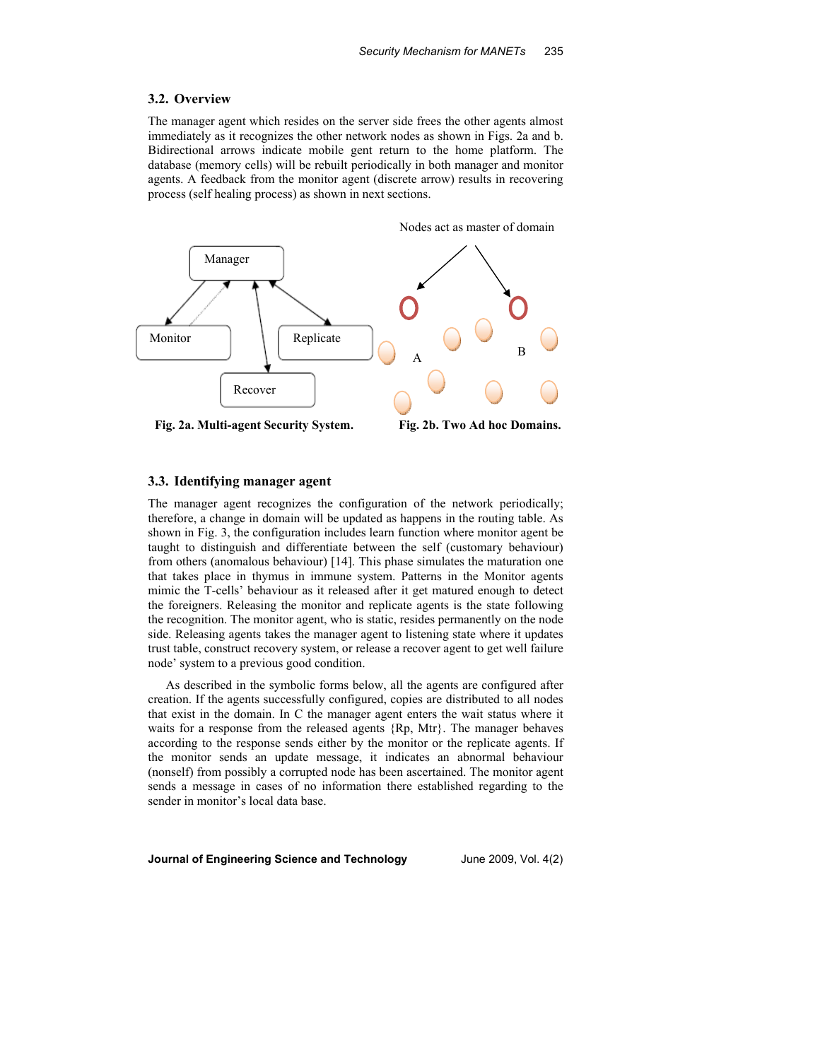#### **3.2. Overview**

The manager agent which resides on the server side frees the other agents almost immediately as it recognizes the other network nodes as shown in Figs. 2a and b. Bidirectional arrows indicate mobile gent return to the home platform. The database (memory cells) will be rebuilt periodically in both manager and monitor agents. A feedback from the monitor agent (discrete arrow) results in recovering process (self healing process) as shown in next sections.

Nodes act as master of domain



**Fig. 2a. Multi-agent Security System.**

**Fig. 2b. Two Ad hoc Domains.** 

### **3.3. Identifying manager agent**

The manager agent recognizes the configuration of the network periodically; therefore, a change in domain will be updated as happens in the routing table. As shown in Fig. 3, the configuration includes learn function where monitor agent be taught to distinguish and differentiate between the self (customary behaviour) from others (anomalous behaviour) [14]. This phase simulates the maturation one that takes place in thymus in immune system. Patterns in the Monitor agents mimic the T-cells' behaviour as it released after it get matured enough to detect the foreigners. Releasing the monitor and replicate agents is the state following the recognition. The monitor agent, who is static, resides permanently on the node side. Releasing agents takes the manager agent to listening state where it updates trust table, construct recovery system, or release a recover agent to get well failure node' system to a previous good condition.

As described in the symbolic forms below, all the agents are configured after creation. If the agents successfully configured, copies are distributed to all nodes that exist in the domain. In C the manager agent enters the wait status where it waits for a response from the released agents {Rp, Mtr}. The manager behaves according to the response sends either by the monitor or the replicate agents. If the monitor sends an update message, it indicates an abnormal behaviour (nonself) from possibly a corrupted node has been ascertained. The monitor agent sends a message in cases of no information there established regarding to the sender in monitor's local data base.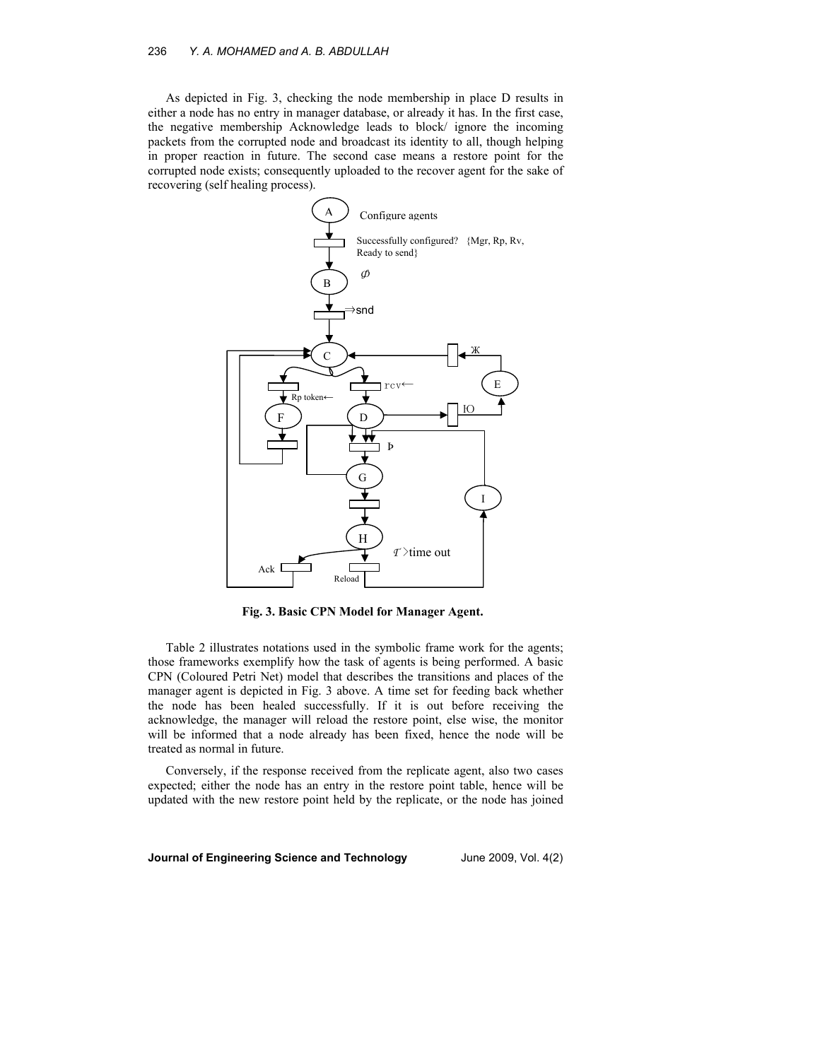As depicted in Fig. 3, checking the node membership in place D results in either a node has no entry in manager database, or already it has. In the first case, the negative membership Acknowledge leads to block/ ignore the incoming packets from the corrupted node and broadcast its identity to all, though helping in proper reaction in future. The second case means a restore point for the corrupted node exists; consequently uploaded to the recover agent for the sake of recovering (self healing process).



**Fig. 3. Basic CPN Model for Manager Agent.** 

Table 2 illustrates notations used in the symbolic frame work for the agents; those frameworks exemplify how the task of agents is being performed. A basic CPN (Coloured Petri Net) model that describes the transitions and places of the manager agent is depicted in Fig. 3 above. A time set for feeding back whether the node has been healed successfully. If it is out before receiving the acknowledge, the manager will reload the restore point, else wise, the monitor will be informed that a node already has been fixed, hence the node will be treated as normal in future.

Conversely, if the response received from the replicate agent, also two cases expected; either the node has an entry in the restore point table, hence will be updated with the new restore point held by the replicate, or the node has joined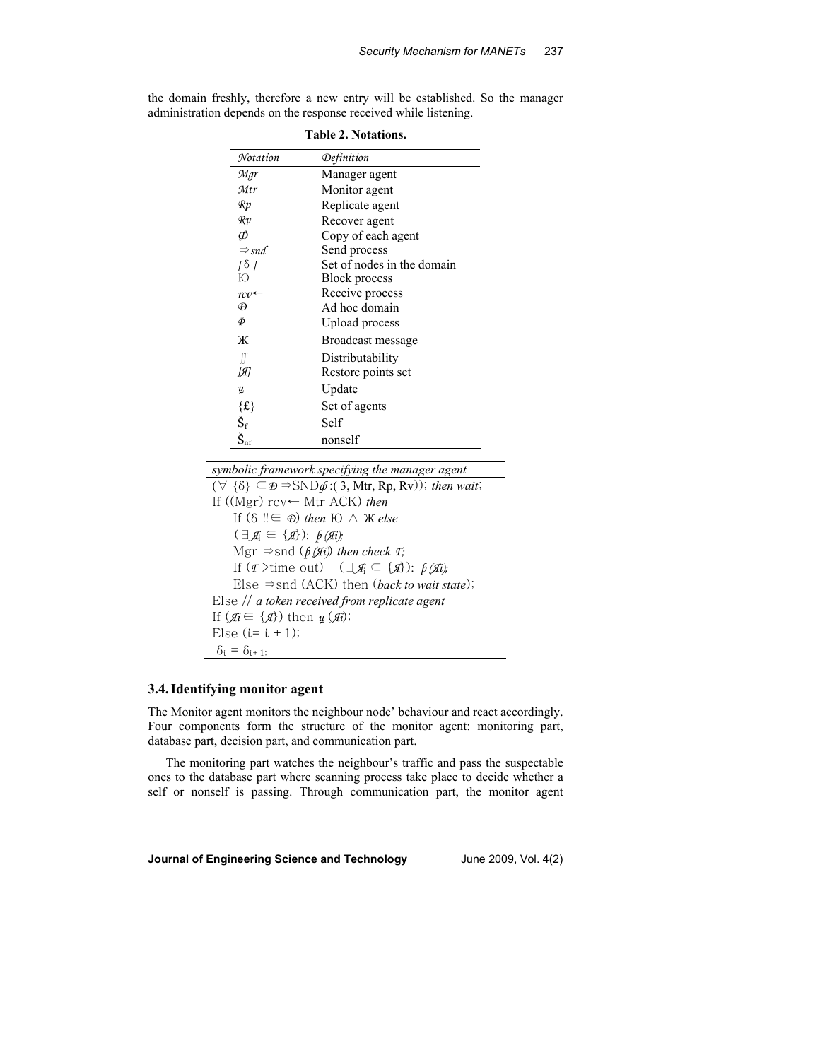| <b>Table 2. Notations.</b>    |                            |  |
|-------------------------------|----------------------------|--|
| Notation                      | Definition                 |  |
| Mgr                           | Manager agent              |  |
| Mtr                           | Monitor agent              |  |
| $\mathcal{R}p$                | Replicate agent            |  |
| $\mathcal{R}v$                | Recover agent              |  |
| Ф                             | Copy of each agent         |  |
| $\Rightarrow$ snd             | Send process               |  |
| $\left\{ \delta$ }            | Set of nodes in the domain |  |
| Ю                             | <b>Block process</b>       |  |
| $rcv$ +                       | Receive process            |  |
| Ð                             | Ad hoc domain              |  |
| Ф                             | Upload process             |  |
| Ж                             | Broadcast message          |  |
| ſſ                            | Distributability           |  |
| [A]                           | Restore points set         |  |
| ц                             | Update                     |  |
| $\{\mathrm{\pounds}\}$        | Set of agents              |  |
| $\rm \check{S}_{\rm f}$       | Self                       |  |
| $\check{\mathbf{S}}_{\rm nf}$ | nonself                    |  |

the domain freshly, therefore a new entry will be established. So the manager administration depends on the response received while listening.

*symbolic framework specifying the manager agent* 

 $(\forall \{\delta\} \in \mathcal{D} \Rightarrow \text{SND}\phi$ :(3, Mtr, Rp, Rv)); *then wait*; If ((Mgr) rcv← Mtr ACK) *then* If (δ ‼∈ *Ð*) *then* Ю ∧ Ж *else* (∃*Я*i ∈ {*Я*}): *þ (Яi);*   $Mgr \Rightarrow$ snd ( $\oint f$ ( $\hat{H}$ i)) *then check T*; If  $(\tau >$ time out)  $(\exists \mathcal{J}_i \in \{\mathcal{J}_i\})$ :  $\beta(\mathcal{J}_i)$ ; Else ⇒snd (ACK) then (*back to wait state*); Else // *a token received from replicate agent* If  $(f_i \in \{f\})$  then  $y_i(f_i)$ ; Else  $(i=i+1);$  $\delta_i = \delta_{i+1}$ ;

# **3.4.Identifying monitor agent**

The Monitor agent monitors the neighbour node' behaviour and react accordingly. Four components form the structure of the monitor agent: monitoring part, database part, decision part, and communication part.

The monitoring part watches the neighbour's traffic and pass the suspectable ones to the database part where scanning process take place to decide whether a self or nonself is passing. Through communication part, the monitor agent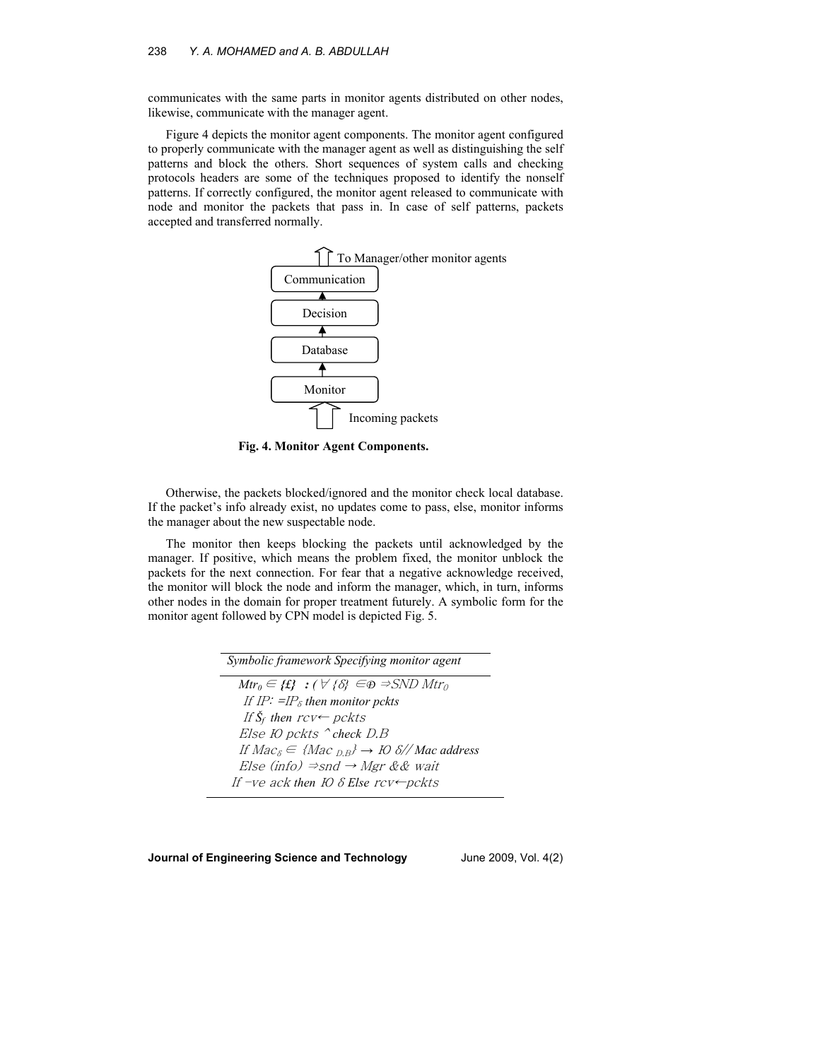communicates with the same parts in monitor agents distributed on other nodes, likewise, communicate with the manager agent.

Figure 4 depicts the monitor agent components. The monitor agent configured to properly communicate with the manager agent as well as distinguishing the self patterns and block the others. Short sequences of system calls and checking protocols headers are some of the techniques proposed to identify the nonself patterns. If correctly configured, the monitor agent released to communicate with node and monitor the packets that pass in. In case of self patterns, packets accepted and transferred normally.



**Fig. 4. Monitor Agent Components.** 

Otherwise, the packets blocked/ignored and the monitor check local database. If the packet's info already exist, no updates come to pass, else, monitor informs the manager about the new suspectable node.

The monitor then keeps blocking the packets until acknowledged by the manager. If positive, which means the problem fixed, the monitor unblock the packets for the next connection. For fear that a negative acknowledge received, the monitor will block the node and inform the manager, which, in turn, informs other nodes in the domain for proper treatment futurely. A symbolic form for the monitor agent followed by CPN model is depicted Fig. 5.

| Symbolic framework Specifying monitor agent                                             |
|-----------------------------------------------------------------------------------------|
| $Mtr_0 \in \{f\}$ : $(\forall \{\delta\} \in \mathfrak{D} \Rightarrow \text{SND} Mtr_0$ |
| If IP: $=IP_{\delta}$ then monitor pckts                                                |
| If $\check{S}_f$ then $rcv \leftarrow pckts$                                            |
| Else <i>FO</i> pckts $\hat{c}$ check <i>D.B</i>                                         |
| If $Mac_{\delta} \in \{Mac_{DB}\}\rightarrow IO\delta//Mac\ address$                    |
| Else (info) $\Rightarrow$ snd $\rightarrow$ Mgr && wait                                 |
| If -ve ack then IO $\delta$ Else rcv $\leftarrow$ pckts                                 |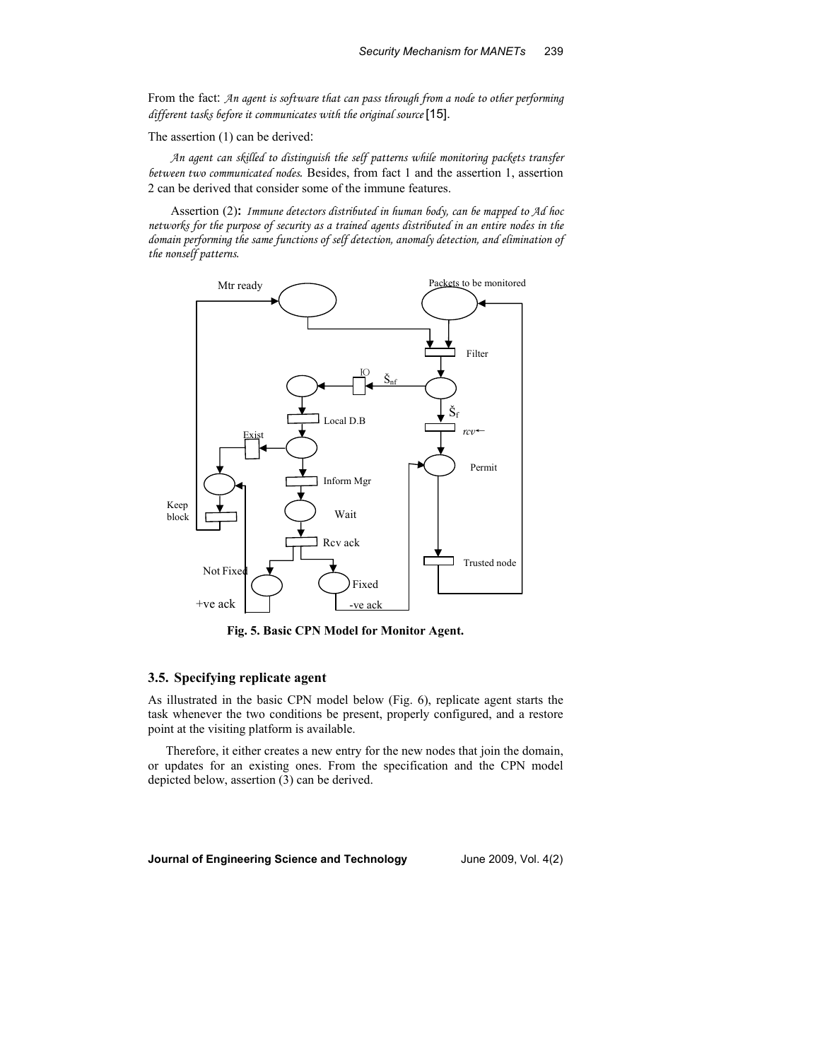From the fact: *An agent is software that can pass through from a node to other performing different tasks before it communicates with the original source* [15].

The assertion (1) can be derived:

*An agent can skilled to distinguish the self patterns while monitoring packets transfer between two communicated nodes.* Besides, from fact 1 and the assertion 1, assertion 2 can be derived that consider some of the immune features.

Assertion (2)**:** *Immune detectors distributed in human body, can be mapped to Ad hoc networks for the purpose of security as a trained agents distributed in an entire nodes in the domain performing the same functions of self detection, anomaly detection, and elimination of the nonself patterns.*



**Fig. 5. Basic CPN Model for Monitor Agent.** 

# **3.5. Specifying replicate agent**

As illustrated in the basic CPN model below (Fig. 6), replicate agent starts the task whenever the two conditions be present, properly configured, and a restore point at the visiting platform is available.

Therefore, it either creates a new entry for the new nodes that join the domain, or updates for an existing ones. From the specification and the CPN model depicted below, assertion (3) can be derived.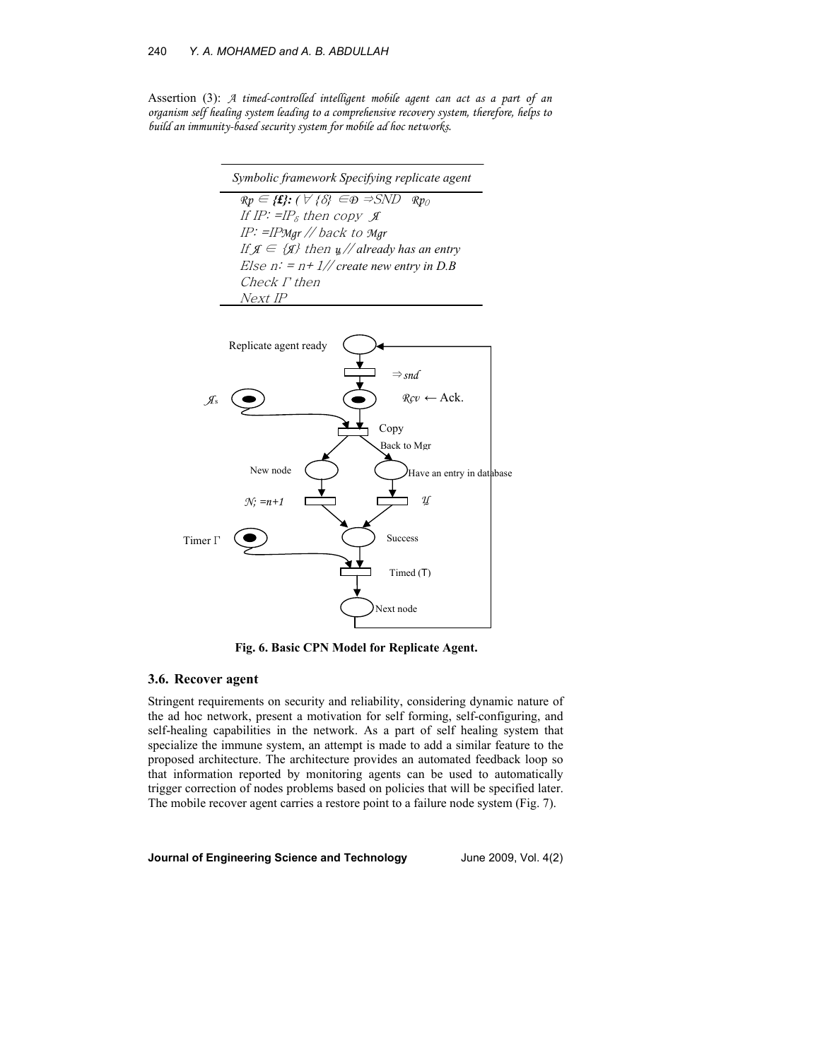### 240 *Y. A. MOHAMED and A. B. ABDULLAH*

Assertion (3): *A timed-controlled intelligent mobile agent can act as a part of an organism self healing system leading to a comprehensive recovery system, therefore, helps to build an immunity-based security system for mobile ad hoc networks.*

| Symbolic framework Specifying replicate agent                                                                       |
|---------------------------------------------------------------------------------------------------------------------|
| $\mathfrak{R}p \in \{ \mathbf{f} \}$ : $(\forall \mathcal{S} \in \mathfrak{D} \Rightarrow \mathcal{S}ND)$<br>$Rp_0$ |
| If IP: $=IP_{\delta}$ then copy $\mathcal{J}$                                                                       |
| IP: = IPMgr // back to Mgr                                                                                          |
| If $\mathfrak{g} \in {\mathfrak{g}}$ then $\mathfrak{u}/\mathfrak{g}$ already has an entry                          |
| Else $n: = n + 1$ // create new entry in D.B                                                                        |
| Check <i>F</i> then                                                                                                 |
| Next IP                                                                                                             |
|                                                                                                                     |



**Fig. 6. Basic CPN Model for Replicate Agent.** 

### **3.6. Recover agent**

Stringent requirements on security and reliability, considering dynamic nature of the ad hoc network, present a motivation for self forming, self-configuring, and self-healing capabilities in the network. As a part of self healing system that specialize the immune system, an attempt is made to add a similar feature to the proposed architecture. The architecture provides an automated feedback loop so that information reported by monitoring agents can be used to automatically trigger correction of nodes problems based on policies that will be specified later. The mobile recover agent carries a restore point to a failure node system (Fig. 7).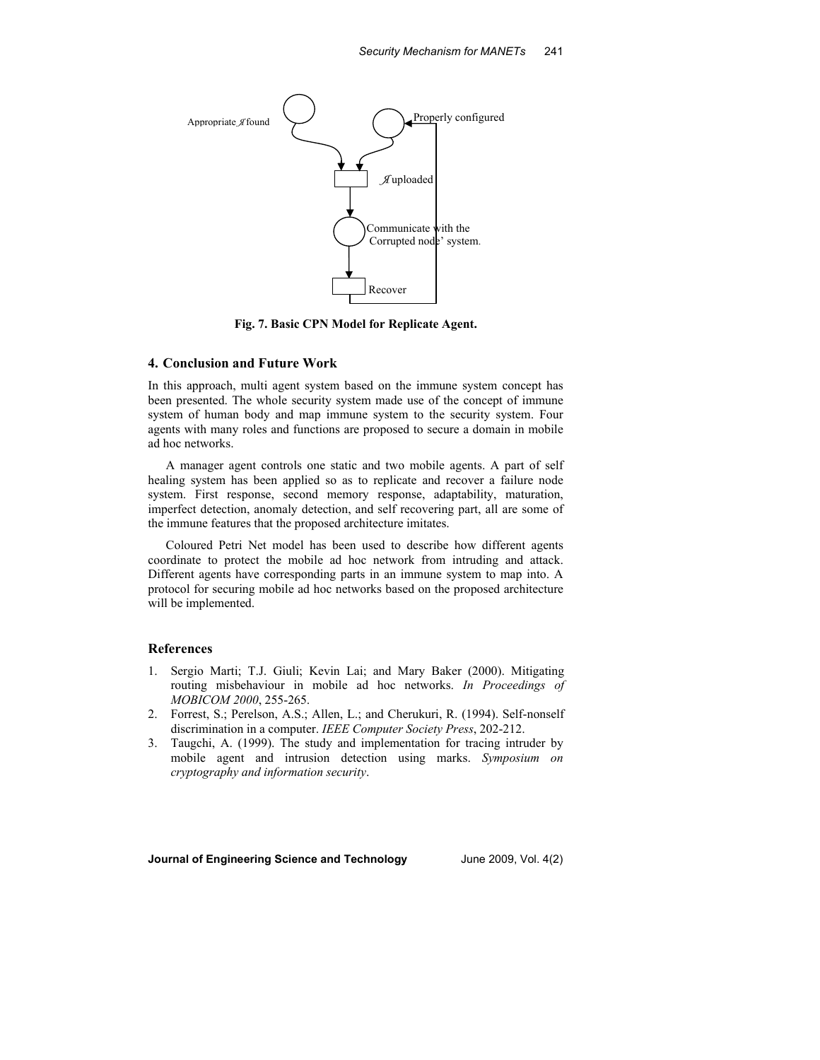

**Fig. 7. Basic CPN Model for Replicate Agent.** 

#### **4. Conclusion and Future Work**

In this approach, multi agent system based on the immune system concept has been presented. The whole security system made use of the concept of immune system of human body and map immune system to the security system. Four agents with many roles and functions are proposed to secure a domain in mobile ad hoc networks.

A manager agent controls one static and two mobile agents. A part of self healing system has been applied so as to replicate and recover a failure node system. First response, second memory response, adaptability, maturation, imperfect detection, anomaly detection, and self recovering part, all are some of the immune features that the proposed architecture imitates.

Coloured Petri Net model has been used to describe how different agents coordinate to protect the mobile ad hoc network from intruding and attack. Different agents have corresponding parts in an immune system to map into. A protocol for securing mobile ad hoc networks based on the proposed architecture will be implemented.

### **References**

- 1. Sergio Marti; T.J. Giuli; Kevin Lai; and Mary Baker (2000). Mitigating routing misbehaviour in mobile ad hoc networks. *In Proceedings of MOBICOM 2000*, 255-265.
- 2. Forrest, S.; Perelson, A.S.; Allen, L.; and Cherukuri, R. (1994). Self-nonself discrimination in a computer. *IEEE Computer Society Press*, 202-212.
- 3. Taugchi, A. (1999). The study and implementation for tracing intruder by mobile agent and intrusion detection using marks. *Symposium on cryptography and information security*.